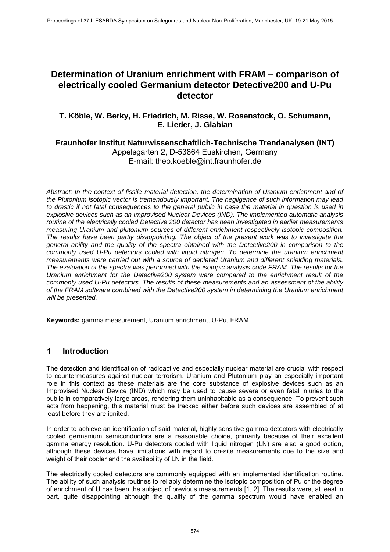# **Determination of Uranium enrichment with FRAM – comparison of electrically cooled Germanium detector Detective200 and U-Pu detector**

## **T. Köble, W. Berky, H. Friedrich, M. Risse, W. Rosenstock, O. Schumann, E. Lieder, J. Glabian**

### **Fraunhofer Institut Naturwissenschaftlich-Technische Trendanalysen (INT)**

Appelsgarten 2, D-53864 Euskirchen, Germany E-mail: theo.koeble@int.fraunhofer.de

*Abstract: In the context of fissile material detection, the determination of Uranium enrichment and of the Plutonium isotopic vector is tremendously important. The negligence of such information may lead to drastic if not fatal consequences to the general public in case the material in question is used in explosive devices such as an Improvised Nuclear Devices (IND). The implemented automatic analysis routine of the electrically cooled Detective 200 detector has been investigated in earlier measurements measuring Uranium and plutonium sources of different enrichment respectively isotopic composition. The results have been partly disappointing. The object of the present work was to investigate the general ability and the quality of the spectra obtained with the Detective200 in comparison to the commonly used U-Pu detectors cooled with liquid nitrogen. To determine the uranium enrichment measurements were carried out with a source of depleted Uranium and different shielding materials. The evaluation of the spectra was performed with the isotopic analysis code FRAM. The results for the Uranium enrichment for the Detective200 system were compared to the enrichment result of the commonly used U-Pu detectors. The results of these measurements and an assessment of the ability of the FRAM software combined with the Detective200 system in determining the Uranium enrichment will be presented.*

**Keywords:** gamma measurement, Uranium enrichment, U-Pu, FRAM

#### $\blacktriangleleft$ **Introduction**

The detection and identification of radioactive and especially nuclear material are crucial with respect to countermeasures against nuclear terrorism. Uranium and Plutonium play an especially important role in this context as these materials are the core substance of explosive devices such as an Improvised Nuclear Device (IND) which may be used to cause severe or even fatal injuries to the public in comparatively large areas, rendering them uninhabitable as a consequence. To prevent such acts from happening, this material must be tracked either before such devices are assembled of at least before they are ignited.

In order to achieve an identification of said material, highly sensitive gamma detectors with electrically cooled germanium semiconductors are a reasonable choice, primarily because of their excellent gamma energy resolution. U-Pu detectors cooled with liquid nitrogen (LN) are also a good option, although these devices have limitations with regard to on-site measurements due to the size and weight of their cooler and the availability of LN in the field.

The electrically cooled detectors are commonly equipped with an implemented identification routine. The ability of such analysis routines to reliably determine the isotopic composition of Pu or the degree of enrichment of U has been the subject of previous measurements [1, 2]. The results were, at least in part, quite disappointing although the quality of the gamma spectrum would have enabled an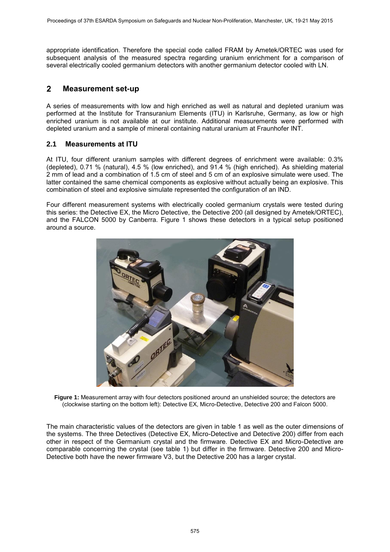appropriate identification. Therefore the special code called FRAM by Ametek/ORTEC was used for subsequent analysis of the measured spectra regarding uranium enrichment for a comparison of several electrically cooled germanium detectors with another germanium detector cooled with LN.

#### $\overline{2}$ **Measurement set-up**

A series of measurements with low and high enriched as well as natural and depleted uranium was performed at the Institute for Transuranium Elements (ITU) in Karlsruhe, Germany, as low or high enriched uranium is not available at our institute. Additional measurements were performed with depleted uranium and a sample of mineral containing natural uranium at Fraunhofer INT.

### **2.1 Measurements at ITU**

At ITU, four different uranium samples with different degrees of enrichment were available: 0.3% (depleted), 0.71 % (natural), 4.5 % (low enriched), and 91.4 % (high enriched). As shielding material 2 mm of lead and a combination of 1.5 cm of steel and 5 cm of an explosive simulate were used. The latter contained the same chemical components as explosive without actually being an explosive. This combination of steel and explosive simulate represented the configuration of an IND.

Four different measurement systems with electrically cooled germanium crystals were tested during this series: the Detective EX, the Micro Detective, the Detective 200 (all designed by Ametek/ORTEC), and the FALCON 5000 by Canberra. Figure 1 shows these detectors in a typical setup positioned around a source.



**Figure 1:** Measurement array with four detectors positioned around an unshielded source; the detectors are (clockwise starting on the bottom left): Detective EX, Micro-Detective, Detective 200 and Falcon 5000.

The main characteristic values of the detectors are given in table 1 as well as the outer dimensions of the systems. The three Detectives (Detective EX, Micro-Detective and Detective 200) differ from each other in respect of the Germanium crystal and the firmware. Detective EX and Micro-Detective are comparable concerning the crystal (see table 1) but differ in the firmware. Detective 200 and Micro-Detective both have the newer firmware V3, but the Detective 200 has a larger crystal.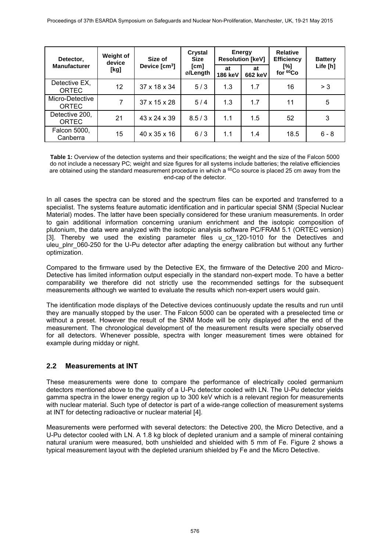| Detector,                       | Weight of<br>device | Size of<br>Device $[cm3]$ | Crystal<br><b>Size</b><br>[cm]<br>ø/Length | Energy<br><b>Resolution [keV]</b> |               | <b>Relative</b><br><b>Efficiency</b> | <b>Battery</b> |
|---------------------------------|---------------------|---------------------------|--------------------------------------------|-----------------------------------|---------------|--------------------------------------|----------------|
| <b>Manufacturer</b>             | [kg]                |                           |                                            | at<br><b>186 keV</b>              | at<br>662 keV | [%]<br>for 60Co                      | Life [h]       |
| Detective EX,<br><b>ORTEC</b>   | 12                  | 37 x 18 x 34              | 5/3                                        | 1.3                               | 1.7           | 16                                   | > 3            |
| Micro-Detective<br><b>ORTEC</b> | 7                   | $37 \times 15 \times 28$  | 5/4                                        | 1.3                               | 1.7           | 11                                   | 5              |
| Detective 200,<br><b>ORTEC</b>  | 21                  | $43 \times 24 \times 39$  | 8.5/3                                      | 1.1                               | 1.5           | 52                                   | 3              |
| Falcon 5000,<br>Canberra        | 15                  | 40 x 35 x 16              | 6/3                                        | 1.1                               | 1.4           | 18.5                                 | $6 - 8$        |

**Table 1:** Overview of the detection systems and their specifications; the weight and the size of the Falcon 5000 do not include a necessary PC; weight and size figures for all systems include batteries; the relative efficiencies are obtained using the standard measurement procedure in which a  $^{60}$ Co source is placed 25 cm away from the end-cap of the detector.

In all cases the spectra can be stored and the spectrum files can be exported and transferred to a specialist. The systems feature automatic identification and in particular special SNM (Special Nuclear Material) modes. The latter have been specially considered for these uranium measurements. In order to gain additional information concerning uranium enrichment and the isotopic composition of plutonium, the data were analyzed with the isotopic analysis software PC/FRAM 5.1 (ORTEC version) [3]. Thereby we used the existing parameter files u cx 120-1010 for the Detectives and uleu plnr 060-250 for the U-Pu detector after adapting the energy calibration but without any further optimization.

Compared to the firmware used by the Detective EX, the firmware of the Detective 200 and Micro-Detective has limited information output especially in the standard non-expert mode. To have a better comparability we therefore did not strictly use the recommended settings for the subsequent measurements although we wanted to evaluate the results which non-expert users would gain.

The identification mode displays of the Detective devices continuously update the results and run until they are manually stopped by the user. The Falcon 5000 can be operated with a preselected time or without a preset. However the result of the SNM Mode will be only displayed after the end of the measurement. The chronological development of the measurement results were specially observed for all detectors. Whenever possible, spectra with longer measurement times were obtained for example during midday or night.

### **2.2 Measurements at INT**

These measurements were done to compare the performance of electrically cooled germanium detectors mentioned above to the quality of a U-Pu detector cooled with LN. The U-Pu detector yields gamma spectra in the lower energy region up to 300 keV which is a relevant region for measurements with nuclear material. Such type of detector is part of a wide-range collection of measurement systems at INT for detecting radioactive or nuclear material [4].

Measurements were performed with several detectors: the Detective 200, the Micro Detective, and a U-Pu detector cooled with LN. A 1.8 kg block of depleted uranium and a sample of mineral containing natural uranium were measured, both unshielded and shielded with 5 mm of Fe. Figure 2 shows a typical measurement layout with the depleted uranium shielded by Fe and the Micro Detective.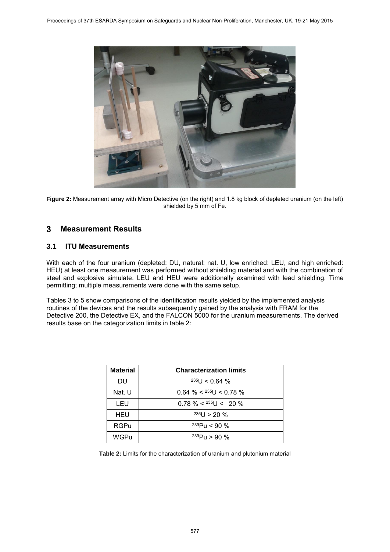

**Figure 2:** Measurement array with Micro Detective (on the right) and 1.8 kg block of depleted uranium (on the left) shielded by 5 mm of Fe.

#### **Measurement Results** 3

### **3.1 ITU Measurements**

With each of the four uranium (depleted: DU, natural: nat. U, low enriched: LEU, and high enriched: HEU) at least one measurement was performed without shielding material and with the combination of steel and explosive simulate. LEU and HEU were additionally examined with lead shielding. Time permitting; multiple measurements were done with the same setup.

Tables 3 to 5 show comparisons of the identification results yielded by the implemented analysis routines of the devices and the results subsequently gained by the analysis with FRAM for the Detective 200, the Detective EX, and the FALCON 5000 for the uranium measurements. The derived results base on the categorization limits in table 2:

| <b>Material</b> | <b>Characterization limits</b> |
|-----------------|--------------------------------|
| DU              | $235$ U < 0.64 %               |
| Nat. U          | $0.64\% 235U < 0.78\%$         |
| LEU             | $0.78\% 235U 20$ %             |
| HEU             | $235$ U > 20 %                 |
| RGPu            | $^{239}$ Pu < 90 %             |
| WGPu            | $^{239}P_{11}$ > 90 %          |

**Table 2:** Limits for the characterization of uranium and plutonium material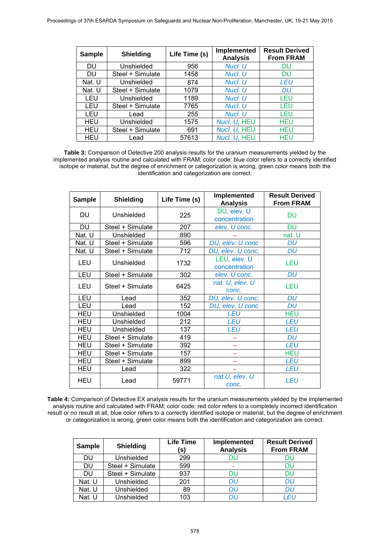| <b>Sample</b> | <b>Shielding</b> | Life Time (s) | Implemented<br><b>Analysis</b> | <b>Result Derived</b><br><b>From FRAM</b> |
|---------------|------------------|---------------|--------------------------------|-------------------------------------------|
| <b>DU</b>     | Unshielded       | 956           | Nucl. U                        | DU                                        |
| DU            | Steel + Simulate | 1458          | Nucl. U                        | DU                                        |
| Nat. U        | Unshielded       | 874           | Nucl. U                        | LEU                                       |
| Nat. U        | Steel + Simulate | 1079          | Nucl. U                        | DU                                        |
| LEU           | Unshielded       | 1189          | Nucl. U                        | LEU                                       |
| LEU           | Steel + Simulate | 7765          | Nucl. U                        | LEU                                       |
| LEU           | Lead             | 255           | Nucl. U                        | LEU                                       |
| <b>HEU</b>    | Unshielded       | 1575          | Nucl. U, HEU                   | HEU                                       |
| <b>HEU</b>    | Steel + Simulate | 691           | Nucl. U, HEU                   | HEU                                       |
| <b>HEU</b>    | Lead             | 57613         | Nucl. U, HEU                   | HEU                                       |

**Table 3:** Comparison of Detective 200 analysis results for the uranium measurements yielded by the implemented analysis routine and calculated with FRAM; color code: blue color refers to a correctly identified isotope or material, but the degree of enrichment or categorization is wrong, green color means both the identification and categorization are correct.

| <b>Sample</b> | <b>Shielding</b> | Life Time (s) | Implemented<br><b>Analysis</b> | <b>Result Derived</b><br><b>From FRAM</b> |
|---------------|------------------|---------------|--------------------------------|-------------------------------------------|
| DU            | Unshielded       | 225           | DU, elev. U<br>concentration   | DU                                        |
| <b>DU</b>     | Steel + Simulate | 207           | elev. U conc.                  | DU                                        |
| Nat. U        | Unshielded       | 890           |                                | nat. U                                    |
| Nat. U        | Steel + Simulate | 596           | DU, elev. U conc               | DU                                        |
| Nat. U        | Steel + Simulate | 712           | DU, elev. U conc.              | DU                                        |
| <b>LEU</b>    | Unshielded       | 1732          | LEU, elev. U<br>concentration  | LEU                                       |
| LEU           | Steel + Simulate | 302           | elev. U conc.                  | <b>DU</b>                                 |
| <b>LEU</b>    | Steel + Simulate | 6425          | nat. U, elev. U<br>conc.       | <b>LEU</b>                                |
| LEU           | Lead             | 352           | DU, elev. U conc.              | DU                                        |
| LEU           | Lead             | 152           | DU, elev. U conc               | DU                                        |
| HEU           | Unshielded       | 1004          | <b>LEU</b>                     | <b>HEU</b>                                |
| <b>HEU</b>    | Unshielded       | 212           | <b>LEU</b>                     | <b>LEU</b>                                |
| <b>HEU</b>    | Unshielded       | 137           | <b>LEU</b>                     | <b>LEU</b>                                |
| <b>HEU</b>    | Steel + Simulate | 419           |                                | DU                                        |
| <b>HEU</b>    | Steel + Simulate | 392           |                                | <b>LEU</b>                                |
| <b>HEU</b>    | Steel + Simulate | 157           |                                | <b>HEU</b>                                |
| HEU           | Steel + Simulate | 899           |                                | <b>LEU</b>                                |
| <b>HEU</b>    | Lead             | 322           |                                | <b>LEU</b>                                |
| HEU           | Lead             | 59771         | nat.U, elev. U<br>conc.        | <b>LEU</b>                                |

**Table 4:** Comparison of Detective EX analysis results for the uranium measurements yielded by the implemented analysis routine and calculated with FRAM; color code: red color refers to a completely incorrect identification result or no result at all, blue color refers to a correctly identified isotope or material, but the degree of enrichment or categorization is wrong, green color means both the identification and categorization are correct.

| <b>Sample</b> | <b>Shielding</b> | <b>Life Time</b><br>(S) | Implemented<br><b>Analysis</b> | <b>Result Derived</b><br><b>From FRAM</b> |
|---------------|------------------|-------------------------|--------------------------------|-------------------------------------------|
| DU            | Unshielded       | 299                     | DU                             | DU                                        |
| DU            | Steel + Simulate | 599                     | ۰                              | DU                                        |
| DU            | Steel + Simulate | 937                     | DU                             | DU                                        |
| Nat. U        | Unshielded       | 201                     | DU                             | DU                                        |
| Nat. U        | Unshielded       | 89                      | DU                             | DU                                        |
| Nat. U        | Unshielded       | 103                     | ווח                            | I FU                                      |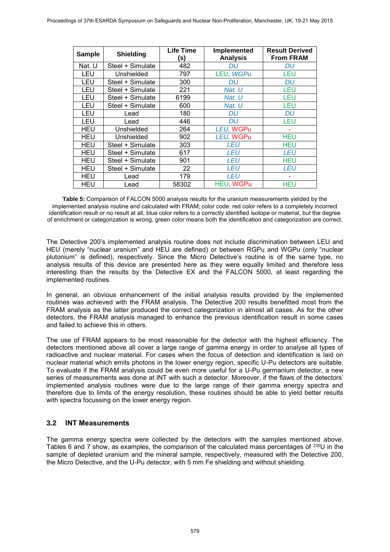| <b>Sample</b> | <b>Shielding</b> | Life Time<br>(S) | Implemented<br><b>Analysis</b> | <b>Result Derived</b><br><b>From FRAM</b> |
|---------------|------------------|------------------|--------------------------------|-------------------------------------------|
| Nat. U        | Steel + Simulate | 482              | DU                             | DU                                        |
| LEU           | Unshielded       | 797              | LEU, WGPu                      | LEU                                       |
| LEU           | Steel + Simulate | 300              | DU                             | DU                                        |
| LEU           | Steel + Simulate | 221              | Nat. U                         | LEU                                       |
| LEU           | Steel + Simulate | 6199             | Nat. U                         | LEU                                       |
| LEU           | Steel + Simulate | 600              | Nat. U                         | LEU                                       |
| LEU           | Lead             | 180              | DU                             | DU                                        |
| LEU           | Lead             | 446              | DU                             | LEU                                       |
| <b>HEU</b>    | Unshielded       | 264              | LEU, WGPu                      |                                           |
| <b>HEU</b>    | Unshielded       | 902              | LEU, WGPu                      | <b>HEU</b>                                |
| <b>HEU</b>    | Steel + Simulate | 303              | LEU                            | HEU                                       |
| <b>HEU</b>    | Steel + Simulate | 617              | LEU                            | LEU                                       |
| HEU           | Steel + Simulate | 901              | <b>LEU</b>                     | HEU                                       |
| <b>HEU</b>    | Steel + Simulate | 22               | LEU                            | LEU                                       |
| HEU           | Lead             | 179              | LEU                            |                                           |
| <b>HEU</b>    | Lead             | 58302            | HEU, WGPu                      | <b>HEU</b>                                |

**Table 5:** Comparison of FALCON 5000 analysis results for the uranium measurements yielded by the implemented analysis routine and calculated with FRAM; color code: red color refers to a completely incorrect identification result or no result at all, blue color refers to a correctly identified isotope or material, but the degree of enrichment or categorization is wrong, green color means both the identification and categorization are correct.

The Detective 200's implemented analysis routine does not include discrimination between LEU and HEU (merely "nuclear uranium" and HEU are defined) or between RGPu and WGPu (only "nuclear plutonium" is defined), respectively. Since the Micro Detective's routine is of the same type, no analysis results of this device are presented here as they were equally limited and therefore less interesting than the results by the Detective EX and the FALCON 5000, at least regarding the implemented routines.

In general, an obvious enhancement of the initial analysis results provided by the implemented routines was achieved with the FRAM analysis. The Detective 200 results benefitted most from the FRAM analysis as the latter produced the correct categorization in almost all cases. As for the other detectors, the FRAM analysis managed to enhance the previous identification result in some cases and failed to achieve this in others.

The use of FRAM appears to be most reasonable for the detector with the highest efficiency. The detectors mentioned above all cover a large range of gamma energy in order to analyse all types of radioactive and nuclear material. For cases when the focus of detection and identification is laid on nuclear material which emits photons in the lower energy region, specific U-Pu detectors are suitable. To evaluate if the FRAM analysis could be even more useful for a U-Pu germanium detector, a new series of measurements was done at INT with such a detector. Moreover, if the flaws of the detectors' implemented analysis routines were due to the large range of their gamma energy spectra and therefore due to limits of the energy resolution, these routines should be able to yield better results with spectra focussing on the lower energy region.

### **3.2 INT Measurements**

The gamma energy spectra were collected by the detectors with the samples mentioned above. Tables 6 and 7 show, as examples, the comparison of the calculated mass percentages of <sup>235</sup>U in the sample of depleted uranium and the mineral sample, respectively, measured with the Detective 200, the Micro Detective, and the U-Pu detector, with 5 mm Fe shielding and without shielding.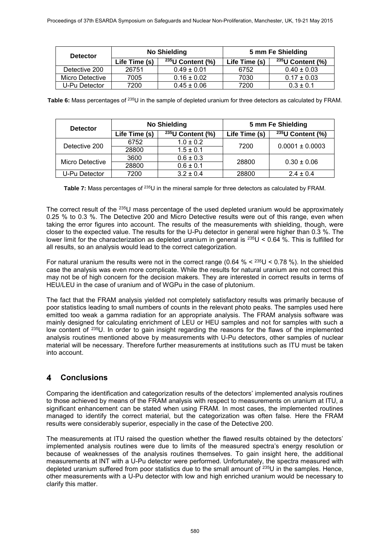| <b>Detector</b> |               | No Shielding        | 5 mm Fe Shielding |                        |  |
|-----------------|---------------|---------------------|-------------------|------------------------|--|
|                 | Life Time (s) | $235$ U Content (%) | Life Time (s)     | $^{235}$ U Content (%) |  |
| Detective 200   | 26751         | $0.49 \pm 0.01$     | 6752              | $0.40 \pm 0.03$        |  |
| Micro Detective | 7005          | $0.16 \pm 0.02$     | 7030              | $0.17 \pm 0.03$        |  |
| U-Pu Detector   | 7200          | $0.45 \pm 0.06$     | 7200              | $0.3 \pm 0.1$          |  |

**Table 6:** Mass percentages of <sup>235</sup>U in the sample of depleted uranium for three detectors as calculated by FRAM.

| <b>Detector</b> |               | No Shielding                 | 5 mm Fe Shielding |                              |  |
|-----------------|---------------|------------------------------|-------------------|------------------------------|--|
|                 | Life Time (s) | $\sqrt{^{235}U}$ Content (%) | Life Time (s)     | $\sqrt{^{235}U}$ Content (%) |  |
| Detective 200   | 6752          | $1.0 \pm 0.2$                | 7200              | $0.0001 \pm 0.0003$          |  |
|                 | 28800         | $1.5 \pm 0.1$                |                   |                              |  |
| Micro Detective | 3600          | $0.6 \pm 0.3$                | 28800             | $0.30 \pm 0.06$              |  |
|                 | 28800         | $0.6 \pm 0.1$                |                   |                              |  |
| U-Pu Detector   | 7200          | $3.2 \pm 0.4$                | 28800             | $2.4 \pm 0.4$                |  |

Table 7: Mass percentages of <sup>235</sup>U in the mineral sample for three detectors as calculated by FRAM.

The correct result of the <sup>235</sup>U mass percentage of the used depleted uranium would be approximately 0.25 % to 0.3 %. The Detective 200 and Micro Detective results were out of this range, even when taking the error figures into account. The results of the measurements with shielding, though, were closer to the expected value. The results for the U-Pu detector in general were higher than 0.3 %. The lower limit for the characterization as depleted uranium in general is  $^{235}$ U < 0.64 %. This is fulfilled for all results, so an analysis would lead to the correct categorization.

For natural uranium the results were not in the correct range (0.64 %  $\lt$  235U  $\lt$  0.78 %). In the shielded case the analysis was even more complicate. While the results for natural uranium are not correct this may not be of high concern for the decision makers. They are interested in correct results in terms of HEU/LEU in the case of uranium and of WGPu in the case of plutonium.

The fact that the FRAM analysis yielded not completely satisfactory results was primarily because of poor statistics leading to small numbers of counts in the relevant photo peaks. The samples used here emitted too weak a gamma radiation for an appropriate analysis. The FRAM analysis software was mainly designed for calculating enrichment of LEU or HEU samples and not for samples with such a low content of <sup>235</sup>U. In order to gain insight regarding the reasons for the flaws of the implemented analysis routines mentioned above by measurements with U-Pu detectors, other samples of nuclear material will be necessary. Therefore further measurements at institutions such as ITU must be taken into account.

#### $\overline{\mathbf{A}}$ **Conclusions**

Comparing the identification and categorization results of the detectors' implemented analysis routines to those achieved by means of the FRAM analysis with respect to measurements on uranium at ITU, a significant enhancement can be stated when using FRAM. In most cases, the implemented routines managed to identify the correct material, but the categorization was often false. Here the FRAM results were considerably superior, especially in the case of the Detective 200.

The measurements at ITU raised the question whether the flawed results obtained by the detectors' implemented analysis routines were due to limits of the measured spectra's energy resolution or because of weaknesses of the analysis routines themselves. To gain insight here, the additional measurements at INT with a U-Pu detector were performed. Unfortunately, the spectra measured with depleted uranium suffered from poor statistics due to the small amount of <sup>235</sup>U in the samples. Hence, other measurements with a U-Pu detector with low and high enriched uranium would be necessary to clarify this matter.